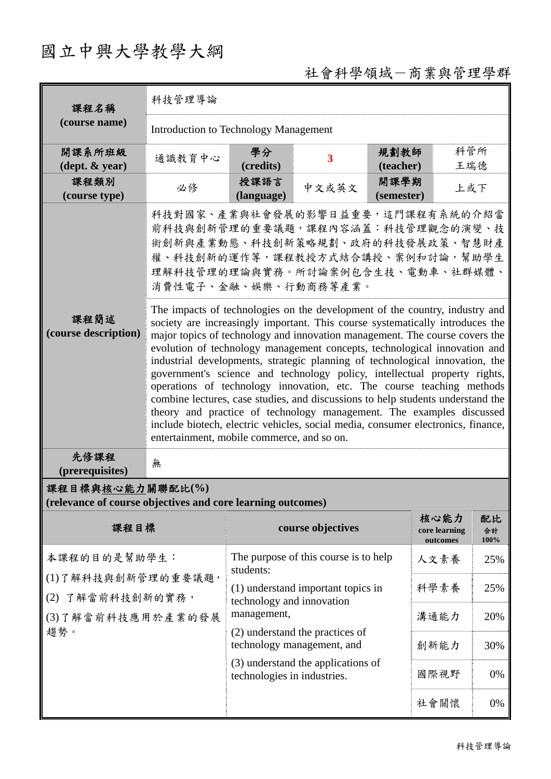# 國立中興大學教學大綱

## 社會科學領域-商業與管理學群

| 課程名稱                                                                               | 科技管理導論                                                                                                                                                                                                                                                                                                                                                                                                                                                                                                                                                                                                                                                                                                                                                                                                                                                      |                                                                                                                                                   |                         |                    |                                   |                  |  |
|------------------------------------------------------------------------------------|-------------------------------------------------------------------------------------------------------------------------------------------------------------------------------------------------------------------------------------------------------------------------------------------------------------------------------------------------------------------------------------------------------------------------------------------------------------------------------------------------------------------------------------------------------------------------------------------------------------------------------------------------------------------------------------------------------------------------------------------------------------------------------------------------------------------------------------------------------------|---------------------------------------------------------------------------------------------------------------------------------------------------|-------------------------|--------------------|-----------------------------------|------------------|--|
| (course name)                                                                      | <b>Introduction to Technology Management</b>                                                                                                                                                                                                                                                                                                                                                                                                                                                                                                                                                                                                                                                                                                                                                                                                                |                                                                                                                                                   |                         |                    |                                   |                  |  |
| 開課系所班級<br>$(\text{dept.} \& \text{ year})$                                         | 通識教育中心                                                                                                                                                                                                                                                                                                                                                                                                                                                                                                                                                                                                                                                                                                                                                                                                                                                      | 學分<br>(credits)                                                                                                                                   | $\overline{\mathbf{3}}$ | 規劃教師<br>(teacher)  | 科管所<br>王瑞德                        |                  |  |
| 課程類別<br>(course type)                                                              | 必修                                                                                                                                                                                                                                                                                                                                                                                                                                                                                                                                                                                                                                                                                                                                                                                                                                                          | 授課語言<br>(language)                                                                                                                                | 中文或英文                   | 開課學期<br>(semester) | 上或下                               |                  |  |
|                                                                                    | 科技對國家、產業與社會發展的影響日益重要,這門課程有系統的介紹當<br>前科技與創新管理的重要議題,課程內容涵蓋:科技管理觀念的演變、技<br>術創新與產業動態、科技創新策略規劃、政府的科技發展政策、智慧財產<br>權、科技創新的運作等,課程教授方式結合講授、案例和討論,幫助學生<br>理解科技管理的理論與實務。所討論案例包含生技、電動車、社群媒體、<br>消費性電子、金融、娛樂、行動商務等產業。                                                                                                                                                                                                                                                                                                                                                                                                                                                                                                                                                                                                                                                    |                                                                                                                                                   |                         |                    |                                   |                  |  |
| 課程簡述<br>(course description)                                                       | The impacts of technologies on the development of the country, industry and<br>society are increasingly important. This course systematically introduces the<br>major topics of technology and innovation management. The course covers the<br>evolution of technology management concepts, technological innovation and<br>industrial developments, strategic planning of technological innovation, the<br>government's science and technology policy, intellectual property rights,<br>operations of technology innovation, etc. The course teaching methods<br>combine lectures, case studies, and discussions to help students understand the<br>theory and practice of technology management. The examples discussed<br>include biotech, electric vehicles, social media, consumer electronics, finance,<br>entertainment, mobile commerce, and so on. |                                                                                                                                                   |                         |                    |                                   |                  |  |
| 先修課程<br>(prerequisites)                                                            | 無                                                                                                                                                                                                                                                                                                                                                                                                                                                                                                                                                                                                                                                                                                                                                                                                                                                           |                                                                                                                                                   |                         |                    |                                   |                  |  |
| 課程目標與核心能力關聯配比(%)<br>(relevance of course objectives and core learning outcomes)    |                                                                                                                                                                                                                                                                                                                                                                                                                                                                                                                                                                                                                                                                                                                                                                                                                                                             |                                                                                                                                                   |                         |                    |                                   |                  |  |
| 課程目標                                                                               |                                                                                                                                                                                                                                                                                                                                                                                                                                                                                                                                                                                                                                                                                                                                                                                                                                                             |                                                                                                                                                   | course objectives       |                    | 核心能力<br>core learning<br>outcomes | 配比<br>合計<br>100% |  |
| 本課程的目的是幫助學生:<br>(1)了解科技與創新管理的重要議題,<br>(2) 了解當前科技創新的實務,<br>(3)了解當前科技應用於產業的發展<br>趨勢。 |                                                                                                                                                                                                                                                                                                                                                                                                                                                                                                                                                                                                                                                                                                                                                                                                                                                             | The purpose of this course is to help<br>students:                                                                                                |                         |                    | 人文素養                              | 25%              |  |
|                                                                                    |                                                                                                                                                                                                                                                                                                                                                                                                                                                                                                                                                                                                                                                                                                                                                                                                                                                             | (1) understand important topics in<br>technology and innovation                                                                                   |                         |                    | 科學素養                              | 25%              |  |
|                                                                                    |                                                                                                                                                                                                                                                                                                                                                                                                                                                                                                                                                                                                                                                                                                                                                                                                                                                             | management,<br>(2) understand the practices of<br>technology management, and<br>(3) understand the applications of<br>technologies in industries. |                         |                    | 溝通能力                              | 20%              |  |
|                                                                                    |                                                                                                                                                                                                                                                                                                                                                                                                                                                                                                                                                                                                                                                                                                                                                                                                                                                             |                                                                                                                                                   |                         |                    | 創新能力                              | 30%              |  |
|                                                                                    |                                                                                                                                                                                                                                                                                                                                                                                                                                                                                                                                                                                                                                                                                                                                                                                                                                                             |                                                                                                                                                   |                         |                    | 國際視野                              | 0%               |  |
|                                                                                    |                                                                                                                                                                                                                                                                                                                                                                                                                                                                                                                                                                                                                                                                                                                                                                                                                                                             |                                                                                                                                                   |                         |                    | 社會關懷                              | $0\%$            |  |